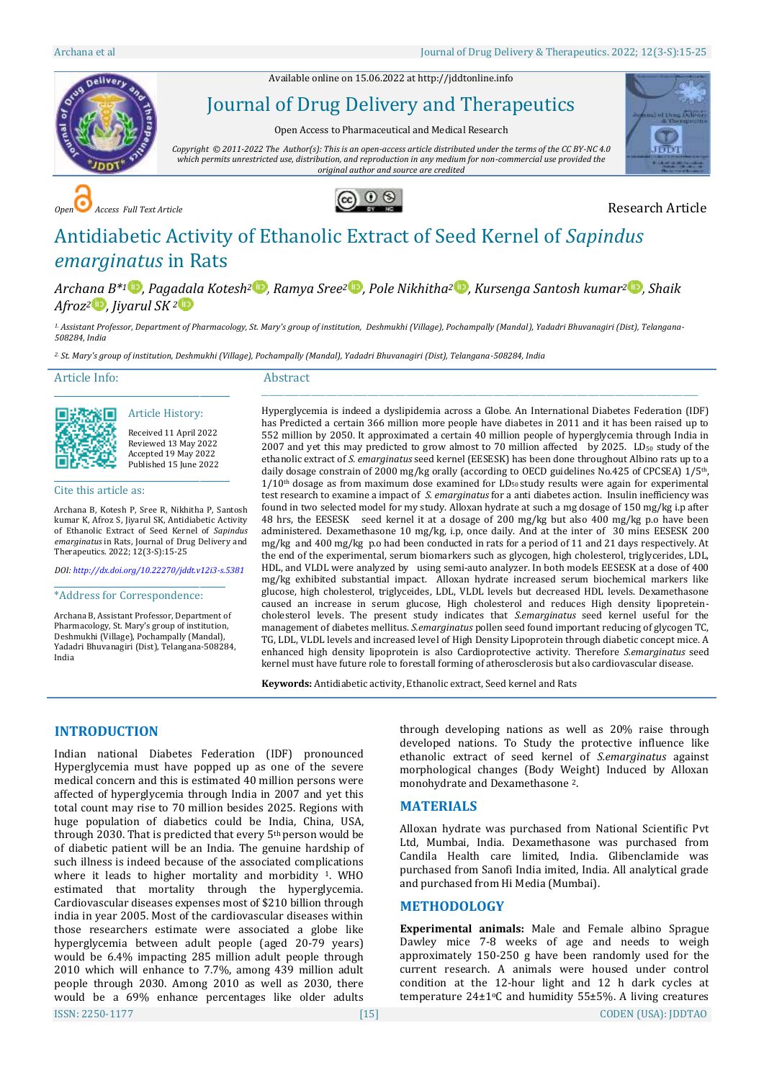Available online on 15.06.2022 a[t http://jddtonline.info](http://jddtonline.info/)



Journal of Drug Delivery and Therapeutics

Open Access to Pharmaceutical and Medical Research

*Copyright © 2011-2022 The Author(s): This is an open-access article distributed under the terms of the CC BY-NC 4.0 which permits unrestricted use, distribution, and reproduction in any medium for non-commercial use provided the original author and source are credited*



*Open Access Full Text Article* Research Article



# Antidiabetic Activity of Ethanolic Extract of Seed Kernel of *Sapindus emarginatus* in Rats

*Archa[na](http://orcid.org/0000-0002-3624-3333) B\*<sup>1</sup> [,](http://orcid.org/0000-0002-1144-3849) Pagadala Kotesh[2](http://orcid.org/0000-0003-2195-3022) , Ramya Sree<sup>2</sup> [,](http://orcid.org/0000-0002-1863-770X) Pole Nikhitha[2](http://orcid.org/0000-0002-4038-0736) , Kursenga Santosh kumar<sup>2</sup> [,](http://orcid.org/0000-0002-0003-1388) Shaik*   $A$ *froz*<sup>[2](http://orcid.org/0000-0003-0287-947X)</sup>  $\bullet$ *, Iivarul SK*  $^{2}$   $\bullet$ 

*1. Assistant Professor, Department of Pharmacology, St. Mary's group of institution, Deshmukhi (Village), Pochampally (Mandal), Yadadri Bhuvanagiri (Dist), Telangana-508284, India*

*2. St. Mary's group of institution, Deshmukhi (Village), Pochampally (Mandal), Yadadri Bhuvanagiri (Dist), Telangana-508284, India*

#### Article Info:

Abstract

Article History: Received 11 April 2022 Reviewed 13 May 2022 Accepted 19 May 2022 Published 15 June 2022

Cite this article as:

Archana B, Kotesh P, Sree R, Nikhitha P, Santosh kumar K, Afroz S, Jiyarul SK, Antidiabetic Activity of Ethanolic Extract of Seed Kernel of *Sapindus emarginatus* in Rats, Journal of Drug Delivery and Therapeutics. 2022; 12(3-S):15-25

\_\_\_\_\_\_\_\_\_\_\_\_\_\_\_\_\_\_\_\_\_\_\_\_\_\_\_\_\_\_\_\_\_\_\_\_\_\_\_\_\_

\_\_\_\_\_\_\_\_\_\_\_\_\_\_\_\_\_\_\_\_\_\_\_\_\_\_\_\_\_\_\_\_\_\_\_\_\_\_\_\_\_

*DOI[: http://dx.doi.org/10.22270/jddt.v12i3-s.5381](http://dx.doi.org/10.22270/jddt.v12i3-s.5381)*  \_\_\_\_\_\_\_\_\_\_\_\_\_\_\_\_\_\_\_\_\_\_\_\_\_\_\_\_\_\_\_\_\_\_\_\_\_\_\_\_

\*Address for Correspondence:

Archana B, Assistant Professor, Department of Pharmacology, St. Mary's group of institution, Deshmukhi (Village), Pochampally (Mandal), Yadadri Bhuvanagiri (Dist), Telangana-508284, India

Hyperglycemia is indeed a dyslipidemia across a Globe. An International Diabetes Federation (IDF) has Predicted a certain 366 million more people have diabetes in 2011 and it has been raised up to 552 million by 2050. It approximated a certain 40 million people of hyperglycemia through India in 2007 and yet this may predicted to grow almost to 70 million affected by 2025. LD<sub>50</sub> study of the ethanolic extract of *S. emarginatus* seed kernel (EESESK) has been done throughout Albino rats up to a daily dosage constrain of 2000 mg/kg orally (according to OECD guidelines No.425 of CPCSEA) 1/5th,  $1/10$ <sup>th</sup> dosage as from maximum dose examined for LD<sub>50</sub> study results were again for experimental test research to examine a impact of *S. emarginatus* for a anti diabetes action. Insulin inefficiency was found in two selected model for my study. Alloxan hydrate at such a mg dosage of 150 mg/kg i.p after 48 hrs, the EESESK seed kernel it at a dosage of 200 mg/kg but also 400 mg/kg p.o have been administered. Dexamethasone 10 mg/kg, i.p, once daily. And at the inter of 30 mins EESESK 200 mg/kg and 400 mg/kg p.o had been conducted in rats for a period of 11 and 21 days respectively. At the end of the experimental, serum biomarkers such as glycogen, high cholesterol, triglycerides, LDL, HDL, and VLDL were analyzed by using semi-auto analyzer. In both models EESESK at a dose of 400 mg/kg exhibited substantial impact. Alloxan hydrate increased serum biochemical markers like glucose, high cholesterol, triglyceides, LDL, VLDL levels but decreased HDL levels. Dexamethasone caused an increase in serum glucose, High cholesterol and reduces High density lipopreteincholesterol levels. The present study indicates that *S.emarginatus* seed kernel useful for the management of diabetes mellitus. *S.emarginatus* pollen seed found important reducing of glycogen TC, TG, LDL, VLDL levels and increased level of High Density Lipoprotein through diabetic concept mice. A

enhanced high density lipoprotein is also Cardioprotective activity. Therefore *S.emarginatus* seed kernel must have future role to forestall forming of atherosclerosis but also cardiovascular disease.

\_\_\_\_\_\_\_\_\_\_\_\_\_\_\_\_\_\_\_\_\_\_\_\_\_\_\_\_\_\_\_\_\_\_\_\_\_\_\_\_\_\_\_\_\_\_\_\_\_\_\_\_\_\_\_\_\_\_\_\_\_\_\_\_\_\_\_\_\_\_\_\_\_\_\_\_\_\_\_\_\_\_\_\_\_\_\_\_\_\_\_\_\_\_\_\_\_\_\_\_\_\_\_\_\_\_\_\_\_\_\_\_\_\_\_

**Keywords:** Antidiabetic activity, Ethanolic extract, Seed kernel and Rats

# **INTRODUCTION**

ISSN: 2250-1177 [15] CODEN (USA): JDDTAO Indian national Diabetes Federation (IDF) pronounced Hyperglycemia must have popped up as one of the severe medical concern and this is estimated 40 million persons were affected of hyperglycemia through India in 2007 and yet this total count may rise to 70 million besides 2025. Regions with huge population of diabetics could be India, China, USA, through 2030. That is predicted that every 5<sup>th</sup> person would be of diabetic patient will be an India. The genuine hardship of such illness is indeed because of the associated complications where it leads to higher mortality and morbidity <sup>1</sup>. WHO estimated that mortality through the hyperglycemia. Cardiovascular diseases expenses most of \$210 billion through india in year 2005. Most of the cardiovascular diseases within those researchers estimate were associated a globe like hyperglycemia between adult people (aged 20-79 years) would be 6.4% impacting 285 million adult people through 2010 which will enhance to 7.7%, among 439 million adult people through 2030. Among 2010 as well as 2030, there would be a 69% enhance percentages like older adults

through developing nations as well as 20% raise through developed nations. To Study the protective influence like ethanolic extract of seed kernel of *S.emarginatus* against morphological changes (Body Weight) Induced by Alloxan monohydrate and Dexamethasone <sup>2</sup>.

# **MATERIALS**

Alloxan hydrate was purchased from National Scientific Pvt Ltd, Mumbai, India. Dexamethasone was purchased from Candila Health care limited, India. Glibenclamide was purchased from Sanofi India imited, India. All analytical grade and purchased from Hi Media (Mumbai).

#### **METHODOLOGY**

**Experimental animals:** Male and Female albino Sprague Dawley mice 7-8 weeks of age and needs to weigh approximately 150-250 g have been randomly used for the current research. A animals were housed under control condition at the 12-hour light and 12 h dark cycles at temperature  $24\pm1$ °C and humidity 55 $\pm$ 5%. A living creatures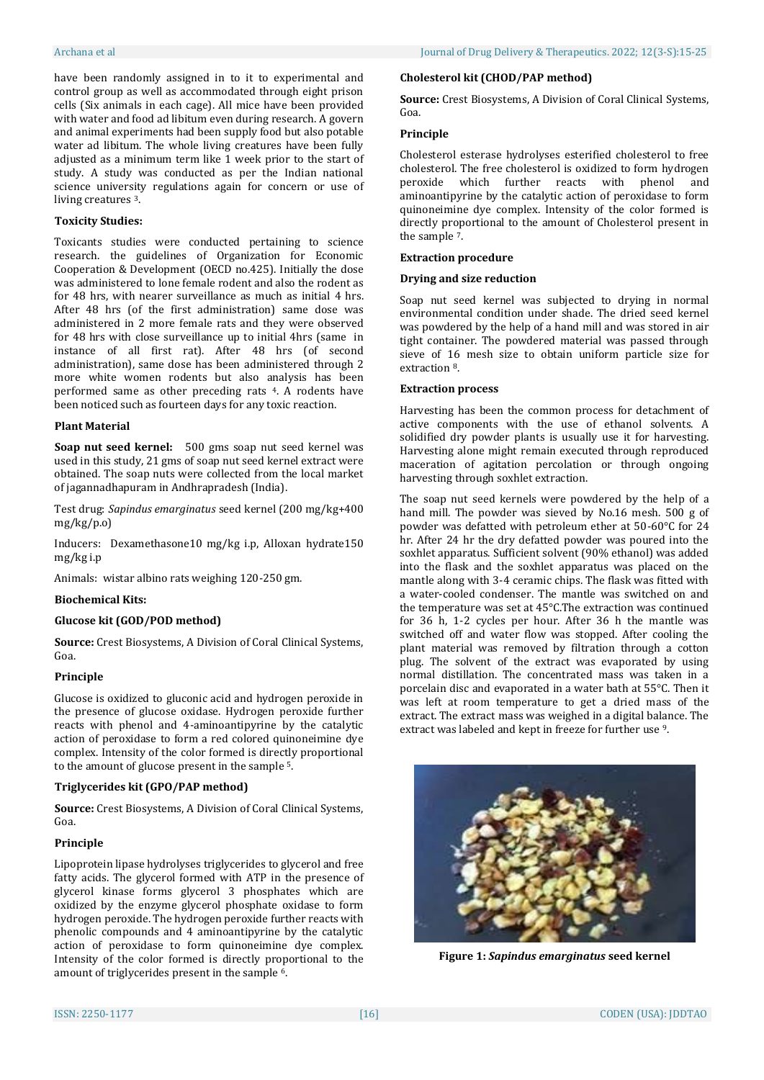have been randomly assigned in to it to experimental and control group as well as accommodated through eight prison cells (Six animals in each cage). All mice have been provided with water and food ad libitum even during research. A govern and animal experiments had been supply food but also potable water ad libitum. The whole living creatures have been fully adjusted as a minimum term like 1 week prior to the start of study. A study was conducted as per the Indian national science university regulations again for concern or use of living creatures <sup>3</sup>.

# **Toxicity Studies:**

Toxicants studies were conducted pertaining to science research. the guidelines of Organization for Economic Cooperation & Development (OECD no.425). Initially the dose was administered to lone female rodent and also the rodent as for 48 hrs, with nearer surveillance as much as initial 4 hrs. After 48 hrs (of the first administration) same dose was administered in 2 more female rats and they were observed for 48 hrs with close surveillance up to initial 4hrs (same in instance of all first rat). After 48 hrs (of second administration), same dose has been administered through 2 more white women rodents but also analysis has been performed same as other preceding rats <sup>4</sup>. A rodents have been noticed such as fourteen days for any toxic reaction.

#### **Plant Material**

**Soap nut seed kernel:** 500 gms soap nut seed kernel was used in this study, 21 gms of soap nut seed kernel extract were obtained. The soap nuts were collected from the local market of jagannadhapuram in Andhrapradesh (India).

Test drug: *Sapindus emarginatus* seed kernel (200 mg/kg+400 mg/kg/p.o)

Inducers: Dexamethasone10 mg/kg i.p, Alloxan hydrate150 mg/kg i.p

Animals: wistar albino rats weighing 120-250 gm.

#### **Biochemical Kits:**

# **Glucose kit (GOD/POD method)**

**Source:** Crest Biosystems, A Division of Coral Clinical Systems, Goa.

#### **Principle**

Glucose is oxidized to gluconic acid and hydrogen peroxide in the presence of glucose oxidase. Hydrogen peroxide further reacts with phenol and 4-aminoantipyrine by the catalytic action of peroxidase to form a red colored quinoneimine dye complex. Intensity of the color formed is directly proportional to the amount of glucose present in the sample <sup>5</sup>.

#### **Triglycerides kit (GPO/PAP method)**

**Source:** Crest Biosystems, A Division of Coral Clinical Systems, Goa.

## **Principle**

Lipoprotein lipase hydrolyses triglycerides to glycerol and free fatty acids. The glycerol formed with ATP in the presence of glycerol kinase forms glycerol 3 phosphates which are oxidized by the enzyme glycerol phosphate oxidase to form hydrogen peroxide. The hydrogen peroxide further reacts with phenolic compounds and 4 aminoantipyrine by the catalytic action of peroxidase to form quinoneimine dye complex. Intensity of the color formed is directly proportional to the amount of triglycerides present in the sample <sup>6</sup>.

#### **Cholesterol kit (CHOD/PAP method)**

**Source:** Crest Biosystems, A Division of Coral Clinical Systems, Goa.

#### **Principle**

Cholesterol esterase hydrolyses esterified cholesterol to free cholesterol. The free cholesterol is oxidized to form hydrogen peroxide which further reacts with phenol and aminoantipyrine by the catalytic action of peroxidase to form quinoneimine dye complex. Intensity of the color formed is directly proportional to the amount of Cholesterol present in the sample <sup>7</sup>.

#### **Extraction procedure**

#### **Drying and size reduction**

Soap nut seed kernel was subjected to drying in normal environmental condition under shade. The dried seed kernel was powdered by the help of a hand mill and was stored in air tight container. The powdered material was passed through sieve of 16 mesh size to obtain uniform particle size for extraction <sup>8</sup>.

#### **Extraction process**

Harvesting has been the common process for detachment of active components with the use of ethanol solvents. A solidified dry powder plants is usually use it for harvesting. Harvesting alone might remain executed through reproduced maceration of agitation percolation or through ongoing harvesting through soxhlet extraction.

The soap nut seed kernels were powdered by the help of a hand mill. The powder was sieved by No.16 mesh. 500 g of powder was defatted with petroleum ether at 50-60°C for 24 hr. After 24 hr the dry defatted powder was poured into the soxhlet apparatus. Sufficient solvent (90% ethanol) was added into the flask and the soxhlet apparatus was placed on the mantle along with 3-4 ceramic chips. The flask was fitted with a water-cooled condenser. The mantle was switched on and the temperature was set at 45°C.The extraction was continued for 36 h, 1-2 cycles per hour. After 36 h the mantle was switched off and water flow was stopped. After cooling the plant material was removed by filtration through a cotton plug. The solvent of the extract was evaporated by using normal distillation. The concentrated mass was taken in a porcelain disc and evaporated in a water bath at 55°C. Then it was left at room temperature to get a dried mass of the extract. The extract mass was weighed in a digital balance. The extract was labeled and kept in freeze for further use <sup>9</sup>.



**Figure 1:** *Sapindus emarginatus* **seed kernel**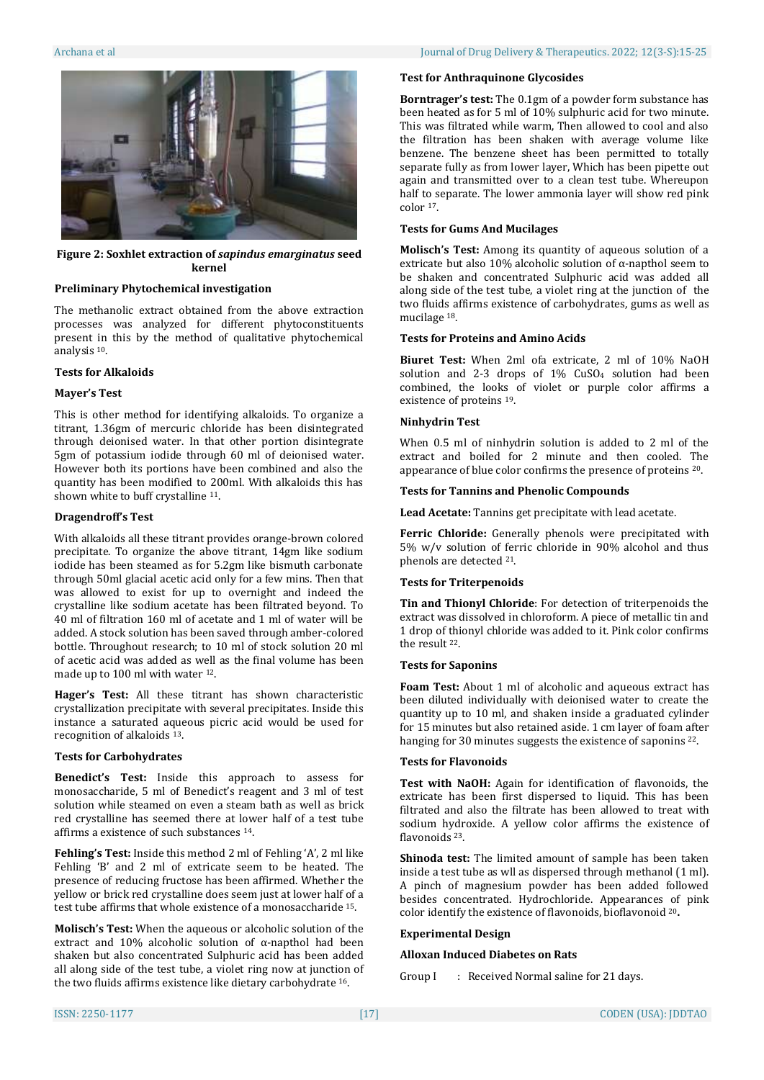

**Figure 2: Soxhlet extraction of** *sapindus emarginatus* **seed kernel**

#### **Preliminary Phytochemical investigation**

The methanolic extract obtained from the above extraction processes was analyzed for different phytoconstituents present in this by the method of qualitative phytochemical analysis <sup>10</sup>.

#### **Tests for Alkaloids**

#### **Mayer's Test**

This is other method for identifying alkaloids. To organize a titrant, 1.36gm of mercuric chloride has been disintegrated through deionised water. In that other portion disintegrate 5gm of potassium iodide through 60 ml of deionised water. However both its portions have been combined and also the quantity has been modified to 200ml. With alkaloids this has shown white to buff crystalline <sup>11</sup>.

#### **Dragendroff's Test**

With alkaloids all these titrant provides orange-brown colored precipitate. To organize the above titrant, 14gm like sodium iodide has been steamed as for 5.2gm like bismuth carbonate through 50ml glacial acetic acid only for a few mins. Then that was allowed to exist for up to overnight and indeed the crystalline like sodium acetate has been filtrated beyond. To 40 ml of filtration 160 ml of acetate and 1 ml of water will be added. A stock solution has been saved through amber-colored bottle. Throughout research; to 10 ml of stock solution 20 ml of acetic acid was added as well as the final volume has been made up to 100 ml with water <sup>12</sup>.

**Hager's Test:** All these titrant has shown characteristic crystallization precipitate with several precipitates. Inside this instance a saturated aqueous picric acid would be used for recognition of alkaloids <sup>13</sup>.

#### **Tests for Carbohydrates**

**Benedict's Test:** Inside this approach to assess for monosaccharide, 5 ml of Benedict's reagent and 3 ml of test solution while steamed on even a steam bath as well as brick red crystalline has seemed there at lower half of a test tube affirms a existence of such substances <sup>14</sup>.

**Fehling's Test:** Inside this method 2 ml of Fehling 'A', 2 ml like Fehling 'B' and 2 ml of extricate seem to be heated. The presence of reducing fructose has been affirmed. Whether the yellow or brick red crystalline does seem just at lower half of a test tube affirms that whole existence of a monosaccharide <sup>15</sup>.

**Molisch's Test:** When the aqueous or alcoholic solution of the extract and 10% alcoholic solution of α-napthol had been shaken but also concentrated Sulphuric acid has been added all along side of the test tube, a violet ring now at junction of the two fluids affirms existence like dietary carbohydrate <sup>16</sup>.

#### **Test for Anthraquinone Glycosides**

**Borntrager's test:** The 0.1gm of a powder form substance has been heated as for 5 ml of 10% sulphuric acid for two minute. This was filtrated while warm, Then allowed to cool and also the filtration has been shaken with average volume like benzene. The benzene sheet has been permitted to totally separate fully as from lower layer, Which has been pipette out again and transmitted over to a clean test tube. Whereupon half to separate. The lower ammonia layer will show red pink color <sup>17</sup>.

#### **Tests for Gums And Mucilages**

**Molisch's Test:** Among its quantity of aqueous solution of a extricate but also 10% alcoholic solution of  $\alpha$ -napthol seem to be shaken and concentrated Sulphuric acid was added all along side of the test tube, a violet ring at the junction of the two fluids affirms existence of carbohydrates, gums as well as mucilage <sup>18</sup>.

# **Tests for Proteins and Amino Acids**

**Biuret Test:** When 2ml ofa extricate, 2 ml of 10% NaOH solution and 2-3 drops of 1% CuSO<sup>4</sup> solution had been combined, the looks of violet or purple color affirms a existence of proteins <sup>19</sup>.

#### **Ninhydrin Test**

When 0.5 ml of ninhydrin solution is added to 2 ml of the extract and boiled for 2 minute and then cooled. The appearance of blue color confirms the presence of proteins <sup>20</sup>.

#### **Tests for Tannins and Phenolic Compounds**

**Lead Acetate:** Tannins get precipitate with lead acetate.

**Ferric Chloride:** Generally phenols were precipitated with 5% w/v solution of ferric chloride in 90% alcohol and thus phenols are detected <sup>21</sup>.

#### **Tests for Triterpenoids**

**Tin and Thionyl Chloride**: For detection of triterpenoids the extract was dissolved in chloroform. A piece of metallic tin and 1 drop of thionyl chloride was added to it. Pink color confirms the result <sup>22</sup>.

#### **Tests for Saponins**

**Foam Test:** About 1 ml of alcoholic and aqueous extract has been diluted individually with deionised water to create the quantity up to 10 ml, and shaken inside a graduated cylinder for 15 minutes but also retained aside. 1 cm layer of foam after hanging for 30 minutes suggests the existence of saponins <sup>22</sup>.

#### **Tests for Flavonoids**

**Test with NaOH:** Again for identification of flavonoids, the extricate has been first dispersed to liquid. This has been filtrated and also the filtrate has been allowed to treat with sodium hydroxide. A yellow color affirms the existence of flavonoids <sup>23</sup>.

**Shinoda test:** The limited amount of sample has been taken inside a test tube as wll as dispersed through methanol (1 ml). A pinch of magnesium powder has been added followed besides concentrated. Hydrochloride. Appearances of pink color identify the existence of flavonoids, bioflavonoid <sup>20</sup>**.**

# **Experimental Design**

#### **Alloxan Induced Diabetes on Rats**

Group I : Received Normal saline for 21 days.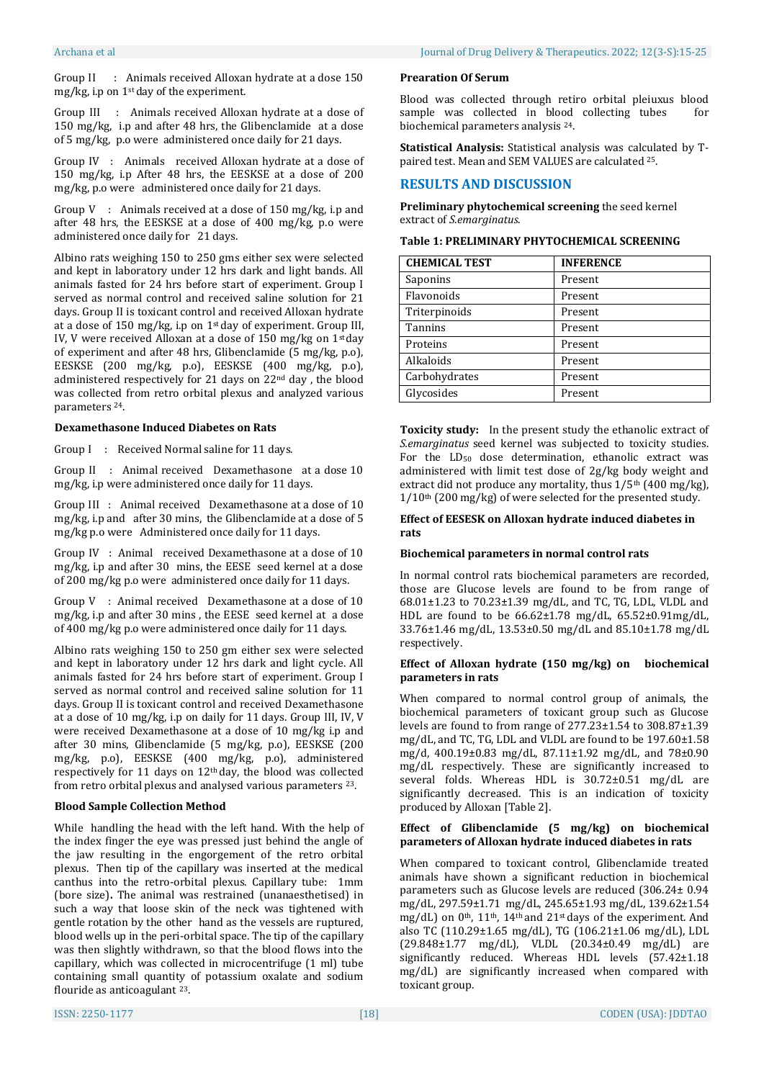Group II : Animals received Alloxan hydrate at a dose 150 mg/kg, i.p on 1st day of the experiment.

Group III : Animals received Alloxan hydrate at a dose of 150 mg/kg, i.p and after 48 hrs, the Glibenclamide at a dose of 5 mg/kg, p.o were administered once daily for 21 days.

Group IV : Animals received Alloxan hydrate at a dose of 150 mg/kg, i.p After 48 hrs, the EESKSE at a dose of 200 mg/kg, p.o were administered once daily for 21 days.

Group V : Animals received at a dose of 150 mg/kg, i.p and after 48 hrs, the EESKSE at a dose of 400 mg/kg, p.o were administered once daily for 21 days.

Albino rats weighing 150 to 250 gms either sex were selected and kept in laboratory under 12 hrs dark and light bands. All animals fasted for 24 hrs before start of experiment. Group I served as normal control and received saline solution for 21 days. Group II is toxicant control and received Alloxan hydrate at a dose of 150 mg/kg, i.p on 1st day of experiment. Group III, IV, V were received Alloxan at a dose of 150 mg/kg on 1st day of experiment and after 48 hrs, Glibenclamide (5 mg/kg, p.o), EESKSE (200 mg/kg, p.o), EESKSE (400 mg/kg, p.o), administered respectively for 21 days on 22nd day , the blood was collected from retro orbital plexus and analyzed various parameters <sup>24</sup>.

# **Dexamethasone Induced Diabetes on Rats**

Group I : Received Normal saline for 11 days.

Group II : Animal received Dexamethasone at a dose 10 mg/kg, i.p were administered once daily for 11 days.

Group III : Animal received Dexamethasone at a dose of 10 mg/kg, i.p and after 30 mins, the Glibenclamide at a dose of 5 mg/kg p.o were Administered once daily for 11 days.

Group IV : Animal received Dexamethasone at a dose of 10 mg/kg, i.p and after 30 mins, the EESE seed kernel at a dose of 200 mg/kg p.o were administered once daily for 11 days.

Group V : Animal received Dexamethasone at a dose of 10 mg/kg, i.p and after 30 mins , the EESE seed kernel at a dose of 400 mg/kg p.o were administered once daily for 11 days.

Albino rats weighing 150 to 250 gm either sex were selected and kept in laboratory under 12 hrs dark and light cycle. All animals fasted for 24 hrs before start of experiment. Group I served as normal control and received saline solution for 11 days. Group II is toxicant control and received Dexamethasone at a dose of 10 mg/kg, i.p on daily for 11 days. Group III, IV, V were received Dexamethasone at a dose of 10 mg/kg i.p and after 30 mins, Glibenclamide (5 mg/kg, p.o), EESKSE (200 mg/kg, p.o), EESKSE (400 mg/kg, p.o), administered respectively for 11 days on 12th day, the blood was collected from retro orbital plexus and analysed various parameters <sup>23</sup>.

# **Blood Sample Collection Method**

While handling the head with the left hand. With the help of the index finger the eye was pressed just behind the angle of the jaw resulting in the engorgement of the retro orbital plexus. Then tip of the capillary was inserted at the medical canthus into the retro-orbital plexus. Capillary tube: 1mm (bore size)**.** The animal was restrained (unanaesthetised) in such a way that loose skin of the neck was tightened with gentle rotation by the other hand as the vessels are ruptured, blood wells up in the peri-orbital space. The tip of the capillary was then slightly withdrawn, so that the blood flows into the capillary, which was collected in microcentrifuge (1 ml) tube containing small quantity of potassium oxalate and sodium flouride as anticoagulant <sup>23</sup>.

Blood was collected through retiro orbital pleiuxus blood sample was collected in blood collecting tubes for biochemical parameters analysis <sup>24</sup>.

**Statistical Analysis:** Statistical analysis was calculated by Tpaired test. Mean and SEM VALUES are calculated <sup>25</sup>.

# **RESULTS AND DISCUSSION**

**Preliminary phytochemical screening** the seed kernel extract of *S.emarginatus*.

| Table 1: PRELIMINARY PHYTOCHEMICAL SCREENING |  |  |
|----------------------------------------------|--|--|
|----------------------------------------------|--|--|

| <b>CHEMICAL TEST</b> | <b>INFERENCE</b> |
|----------------------|------------------|
| Saponins             | Present          |
| Flavonoids           | Present          |
| Triterpinoids        | Present          |
| Tannins              | Present          |
| Proteins             | Present          |
| Alkaloids            | Present          |
| Carbohydrates        | Present          |
| Glycosides           | Present          |

**Toxicity study:** In the present study the ethanolic extract of *S.emarginatus* seed kernel was subjected to toxicity studies. For the LD<sub>50</sub> dose determination, ethanolic extract was administered with limit test dose of 2g/kg body weight and extract did not produce any mortality, thus  $1/5$ <sup>th</sup> (400 mg/kg), 1/10th (200 mg/kg) of were selected for the presented study.

## **Effect of EESESK on Alloxan hydrate induced diabetes in rats**

## **Biochemical parameters in normal control rats**

In normal control rats biochemical parameters are recorded, those are Glucose levels are found to be from range of 68.01±1.23 to 70.23±1.39 mg/dL, and TC, TG, LDL, VLDL and HDL are found to be 66.62±1.78 mg/dL, 65.52±0.91mg/dL, 33.76±1.46 mg/dL, 13.53±0.50 mg/dL and 85.10±1.78 mg/dL respectively.

#### **Effect of Alloxan hydrate (150 mg/kg) on biochemical parameters in rats**

When compared to normal control group of animals, the biochemical parameters of toxicant group such as Glucose levels are found to from range of 277.23±1.54 to 308.87±1.39 mg/dL, and TC, TG, LDL and VLDL are found to be 197.60±1.58 mg/d, 400.19±0.83 mg/dL, 87.11±1.92 mg/dL, and 78±0.90 mg/dL respectively. These are significantly increased to several folds. Whereas HDL is 30.72±0.51 mg/dL are significantly decreased. This is an indication of toxicity produced by Alloxan [Table 2].

# **Effect of Glibenclamide (5 mg/kg) on biochemical parameters of Alloxan hydrate induced diabetes in rats**

When compared to toxicant control, Glibenclamide treated animals have shown a significant reduction in biochemical parameters such as Glucose levels are reduced (306.24± 0.94 mg/dL, 297.59±1.71 mg/dL, 245.65±1.93 mg/dL, 139.62±1.54 mg/dL) on 0th, 11th, 14th and 21st days of the experiment. And also TC (110.29±1.65 mg/dL), TG (106.21±1.06 mg/dL), LDL (29.848±1.77 mg/dL), VLDL (20.34±0.49 mg/dL) are significantly reduced. Whereas HDL levels (57.42±1.18 mg/dL) are significantly increased when compared with toxicant group.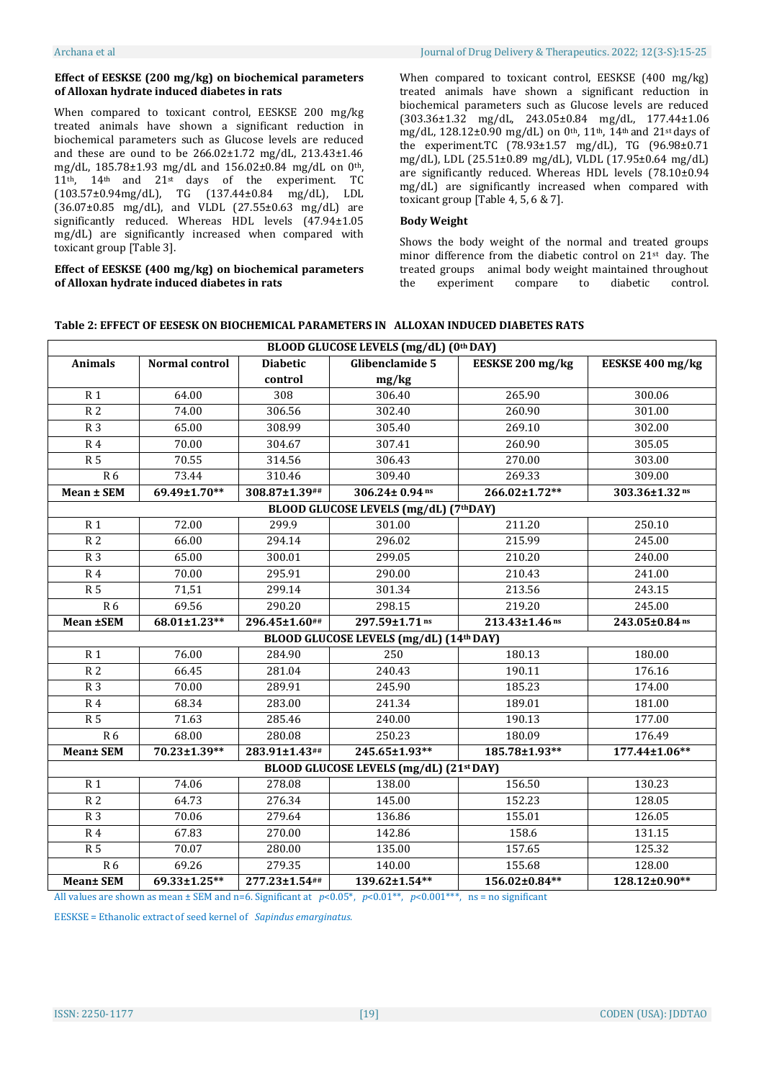# **Effect of EESKSE (200 mg/kg) on biochemical parameters of Alloxan hydrate induced diabetes in rats**

When compared to toxicant control, EESKSE 200 mg/kg treated animals have shown a significant reduction in biochemical parameters such as Glucose levels are reduced and these are ound to be 266.02±1.72 mg/dL, 213.43±1.46 mg/dL, 185.78±1.93 mg/dL and 156.02±0.84 mg/dL on 0th, 11th, 14th and 21st days of the experiment. TC (103.57±0.94mg/dL), TG (137.44±0.84 mg/dL), LDL (36.07±0.85 mg/dL), and VLDL (27.55±0.63 mg/dL) are significantly reduced. Whereas HDL levels (47.94±1.05 mg/dL) are significantly increased when compared with toxicant group [Table 3].

## **Effect of EESKSE (400 mg/kg) on biochemical parameters of Alloxan hydrate induced diabetes in rats**

When compared to toxicant control, EESKSE (400 mg/kg) treated animals have shown a significant reduction in biochemical parameters such as Glucose levels are reduced (303.36±1.32 mg/dL, 243.05±0.84 mg/dL, 177.44±1.06 mg/dL, 128.12±0.90 mg/dL) on 0<sup>th</sup>, 11<sup>th</sup>, 14<sup>th</sup> and 21<sup>st</sup> days of the experiment.TC (78.93±1.57 mg/dL), TG (96.98±0.71 mg/dL), LDL (25.51±0.89 mg/dL), VLDL (17.95±0.64 mg/dL) are significantly reduced. Whereas HDL levels (78.10±0.94 mg/dL) are significantly increased when compared with toxicant group [Table 4, 5, 6 & 7].

# **Body Weight**

Shows the body weight of the normal and treated groups minor difference from the diabetic control on 21st day. The treated groups animal body weight maintained throughout the experiment compare to diabetic control.

| Table 2: EFFECT OF EESESK ON BIOCHEMICAL PARAMETERS IN ALLOXAN INDUCED DIABETES RATS |  |
|--------------------------------------------------------------------------------------|--|
|--------------------------------------------------------------------------------------|--|

|                  | BLOOD GLUCOSE LEVELS (mg/dL) (0th DAY) |                                    |                                         |                  |                  |  |  |
|------------------|----------------------------------------|------------------------------------|-----------------------------------------|------------------|------------------|--|--|
| <b>Animals</b>   | Normal control                         | <b>Diabetic</b>                    | Glibenclamide 5                         | EESKSE 200 mg/kg | EESKSE 400 mg/kg |  |  |
|                  |                                        | control                            | mg/kg                                   |                  |                  |  |  |
| $\overline{R1}$  | 64.00                                  | 308                                | 306.40                                  | 265.90           | 300.06           |  |  |
| R <sub>2</sub>   | 74.00                                  | 306.56                             | 302.40                                  | 260.90           | 301.00           |  |  |
| R <sub>3</sub>   | 65.00                                  | 308.99                             | 305.40                                  | 269.10           | 302.00           |  |  |
| <b>R4</b>        | 70.00                                  | 304.67                             | 307.41                                  | 260.90           | 305.05           |  |  |
| $\overline{R5}$  | 70.55                                  | 314.56                             | 306.43                                  | 270.00           | 303.00           |  |  |
| R6               | 73.44                                  | 310.46                             | 309.40                                  | 269.33           | 309.00           |  |  |
| Mean ± SEM       | 69.49±1.70**                           | 308.87±1.39##                      | 306.24± 0.94 ns                         | 266.02±1.72**    | 303.36±1.32 ns   |  |  |
|                  |                                        |                                    | BLOOD GLUCOSE LEVELS (mg/dL) (7thDAY)   |                  |                  |  |  |
| R <sub>1</sub>   | 72.00                                  | 299.9                              | 301.00                                  | 211.20           | 250.10           |  |  |
| $\overline{R}$ 2 | 66.00                                  | 294.14                             | 296.02                                  | 215.99           | 245.00           |  |  |
| R <sub>3</sub>   | 65.00                                  | 300.01                             | 299.05                                  | 210.20           | 240.00           |  |  |
| <b>R4</b>        | 70.00                                  | 295.91                             | 290.00                                  | 210.43           | 241.00           |  |  |
| R <sub>5</sub>   | 71,51                                  | 299.14                             | 301.34                                  | 213.56           | 243.15           |  |  |
| <b>R6</b>        | 69.56                                  | 290.20                             | 298.15                                  | 219.20           | 245.00           |  |  |
| Mean ±SEM        | 68.01±1.23**                           | 296.45±1.60##                      | 297.59±1.71 ns                          | 213.43±1.46 ns   | 243.05±0.84 ns   |  |  |
|                  |                                        |                                    | BLOOD GLUCOSE LEVELS (mg/dL) (14th DAY) |                  |                  |  |  |
| R <sub>1</sub>   | 76.00                                  | 284.90                             | 250                                     | 180.13           | 180.00           |  |  |
| $\overline{R}$ 2 | 66.45                                  | 281.04                             | 240.43                                  | 190.11           | 176.16           |  |  |
| R <sub>3</sub>   | 70.00                                  | 289.91                             | 245.90                                  | 185.23           | 174.00           |  |  |
| R <sub>4</sub>   | 68.34                                  | 283.00                             | 241.34                                  | 189.01           | 181.00           |  |  |
| <b>R5</b>        | 71.63                                  | 285.46                             | 240.00                                  | 190.13           | 177.00           |  |  |
| R6               | 68.00                                  | 280.08                             | 250.23                                  | 180.09           | 176.49           |  |  |
| <b>Mean± SEM</b> | 70.23±1.39**                           | 283.91±1.43##                      | 245.65±1.93**                           | 185.78±1.93**    | 177.44±1.06**    |  |  |
|                  |                                        |                                    | BLOOD GLUCOSE LEVELS (mg/dL) (21st DAY) |                  |                  |  |  |
| R <sub>1</sub>   | 74.06                                  | 278.08                             | 138.00                                  | 156.50           | 130.23           |  |  |
| R <sub>2</sub>   | 64.73                                  | 276.34                             | 145.00                                  | 152.23           | 128.05           |  |  |
| R <sub>3</sub>   | 70.06                                  | 279.64                             | 136.86                                  | 155.01           | 126.05           |  |  |
| <b>R4</b>        | 67.83                                  | 270.00                             | 142.86                                  | 158.6            | 131.15           |  |  |
| $\overline{R5}$  | 70.07                                  | 280.00                             | 135.00                                  | 157.65           | 125.32           |  |  |
| R6               | 69.26                                  | 279.35                             | 140.00                                  | 155.68           | 128.00           |  |  |
| <b>Mean± SEM</b> | 69.33±1.25**                           | 277.23±1.54##<br>$\alpha$ $\alpha$ | 139.62±1.54**<br>0.0444                 | 156.02±0.84**    | 128.12±0.90**    |  |  |

All values are shown as mean ± SEM and n=6. Significant at *p*<0.05\*, *p*<0.01\*\*, *p*<0.001\*\*\*, ns = no significant

EESKSE = Ethanolic extract of seed kernel of *Sapindus emarginatus.*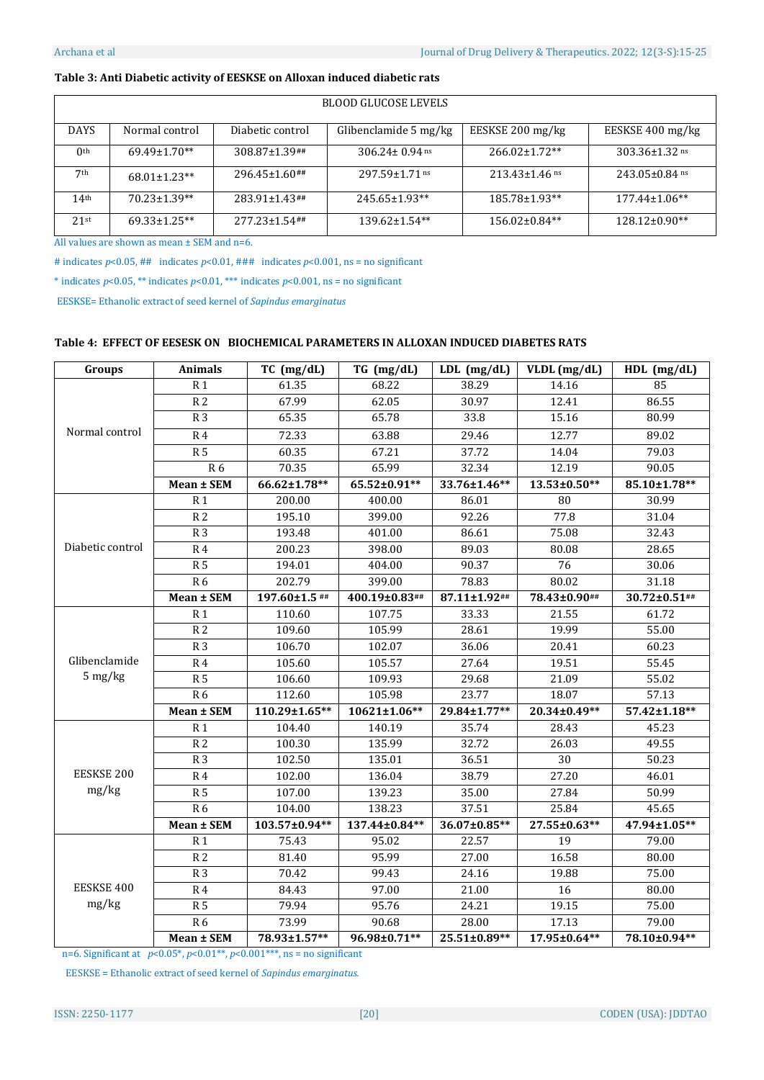# **Table 3: Anti Diabetic activity of EESKSE on Alloxan induced diabetic rats**

| <b>BLOOD GLUCOSE LEVELS</b> |                    |                      |                       |                      |                      |  |  |
|-----------------------------|--------------------|----------------------|-----------------------|----------------------|----------------------|--|--|
| <b>DAYS</b>                 | Normal control     | Diabetic control     | Glibenclamide 5 mg/kg | EESKSE 200 mg/kg     | EESKSE 400 mg/kg     |  |  |
| 0 <sup>th</sup>             | $69.49 \pm 1.70**$ | $308.87 \pm 1.39$ ## | $306.24 \pm 0.94$ ns  | $266.02+1.72**$      | $303.36 \pm 1.32$ ns |  |  |
| 7th                         | $68.01 \pm 1.23**$ | $296.45 \pm 1.60$ ## | $297.59 + 1.71$ ns    | $213.43 \pm 1.46$ ns | $243.05 \pm 0.84$ ns |  |  |
| 14 <sup>th</sup>            | $70.23 + 1.39**$   | $283.91 \pm 1.43$ ## | $245.65 \pm 1.93**$   | 185.78±1.93**        | $177.44 \pm 1.06**$  |  |  |
| 21st                        | $69.33 + 1.25**$   | $277.23 \pm 1.54$ ## | $139.62 \pm 1.54**$   | $156.02 \pm 0.84**$  | $128.12\pm0.90**$    |  |  |

All values are shown as mean ± SEM and n=6.

# indicates  $p < 0.05$ , ## indicates  $p < 0.01$ , ### indicates  $p < 0.001$ , ns = no significant

\* indicates  $p$ <0.05, \*\* indicates  $p$ <0.01, \*\*\* indicates  $p$ <0.001, ns = no significant

EESKSE= Ethanolic extract of seed kernel of *Sapindus emarginatus*

# **Table 4: EFFECT OF EESESK ON BIOCHEMICAL PARAMETERS IN ALLOXAN INDUCED DIABETES RATS**

| Groups            | <b>Animals</b>   | TC (mg/dL)    | TG (mg/dL)    | $LDL$ (mg/dL) | VLDL (mg/dL) | $HDL$ (mg/dL) |
|-------------------|------------------|---------------|---------------|---------------|--------------|---------------|
|                   | R <sub>1</sub>   | 61.35         | 68.22         | 38.29         | 14.16        | 85            |
|                   | R <sub>2</sub>   | 67.99         | 62.05         | 30.97         | 12.41        | 86.55         |
|                   | R <sub>3</sub>   | 65.35         | 65.78         | 33.8          | 15.16        | 80.99         |
| Normal control    | <b>R4</b>        | 72.33         | 63.88         | 29.46         | 12.77        | 89.02         |
|                   | $\overline{R5}$  | 60.35         | 67.21         | 37.72         | 14.04        | 79.03         |
|                   | R6               | 70.35         | 65.99         | 32.34         | 12.19        | 90.05         |
|                   | Mean ± SEM       | 66.62±1.78**  | 65.52±0.91**  | 33.76±1.46**  | 13.53±0.50** | 85.10±1.78**  |
|                   | R <sub>1</sub>   | 200.00        | 400.00        | 86.01         | 80           | 30.99         |
|                   | R <sub>2</sub>   | 195.10        | 399.00        | 92.26         | 77.8         | 31.04         |
|                   | R <sub>3</sub>   | 193.48        | 401.00        | 86.61         | 75.08        | 32.43         |
| Diabetic control  | <b>R4</b>        | 200.23        | 398.00        | 89.03         | 80.08        | 28.65         |
|                   | R <sub>5</sub>   | 194.01        | 404.00        | 90.37         | 76           | 30.06         |
|                   | R6               | 202.79        | 399.00        | 78.83         | 80.02        | 31.18         |
|                   | Mean ± SEM       | 197.60±1.5 ## | 400.19±0.83## | 87.11±1.92##  | 78.43±0.90## | 30.72±0.51##  |
|                   | R <sub>1</sub>   | 110.60        | 107.75        | 33.33         | 21.55        | 61.72         |
|                   | R <sub>2</sub>   | 109.60        | 105.99        | 28.61         | 19.99        | 55.00         |
|                   | R <sub>3</sub>   | 106.70        | 102.07        | 36.06         | 20.41        | 60.23         |
| Glibenclamide     | R <sub>4</sub>   | 105.60        | 105.57        | 27.64         | 19.51        | 55.45         |
| 5 mg/kg           | $\overline{R5}$  | 106.60        | 109.93        | 29.68         | 21.09        | 55.02         |
|                   | $\overline{R6}$  | 112.60        | 105.98        | 23.77         | 18.07        | 57.13         |
|                   | Mean ± SEM       | 110.29±1.65** | 10621±1.06**  | 29.84±1.77**  | 20.34±0.49** | 57.42±1.18**  |
|                   | R 1              | 104.40        | 140.19        | 35.74         | 28.43        | 45.23         |
|                   | $\overline{R}$ 2 | 100.30        | 135.99        | 32.72         | 26.03        | 49.55         |
|                   | R <sub>3</sub>   | 102.50        | 135.01        | 36.51         | 30           | 50.23         |
| <b>EESKSE 200</b> | R <sub>4</sub>   | 102.00        | 136.04        | 38.79         | 27.20        | 46.01         |
| mg/kg             | R <sub>5</sub>   | 107.00        | 139.23        | 35.00         | 27.84        | 50.99         |
|                   | R6               | 104.00        | 138.23        | 37.51         | 25.84        | 45.65         |
|                   | Mean ± SEM       | 103.57±0.94** | 137.44±0.84** | 36.07±0.85**  | 27.55±0.63** | 47.94±1.05**  |
|                   | R <sub>1</sub>   | 75.43         | 95.02         | 22.57         | 19           | 79.00         |
|                   | $\overline{R}$ 2 | 81.40         | 95.99         | 27.00         | 16.58        | 80.00         |
|                   | R <sub>3</sub>   | 70.42         | 99.43         | 24.16         | 19.88        | 75.00         |
| EESKSE 400        | R <sub>4</sub>   | 84.43         | 97.00         | 21.00         | 16           | 80.00         |
| mg/kg             | R <sub>5</sub>   | 79.94         | 95.76         | 24.21         | 19.15        | 75.00         |
|                   | R 6              | 73.99         | 90.68         | 28.00         | 17.13        | 79.00         |
|                   | Mean ± SEM       | 78.93±1.57**  | 96.98±0.71**  | 25.51±0.89**  | 17.95±0.64** | 78.10±0.94**  |

n=6. Significant at  $p<0.05^*$ ,  $p<0.01^{**}$ ,  $p<0.001^{***}$ , ns = no significant

EESKSE = Ethanolic extract of seed kernel of *Sapindus emarginatus.*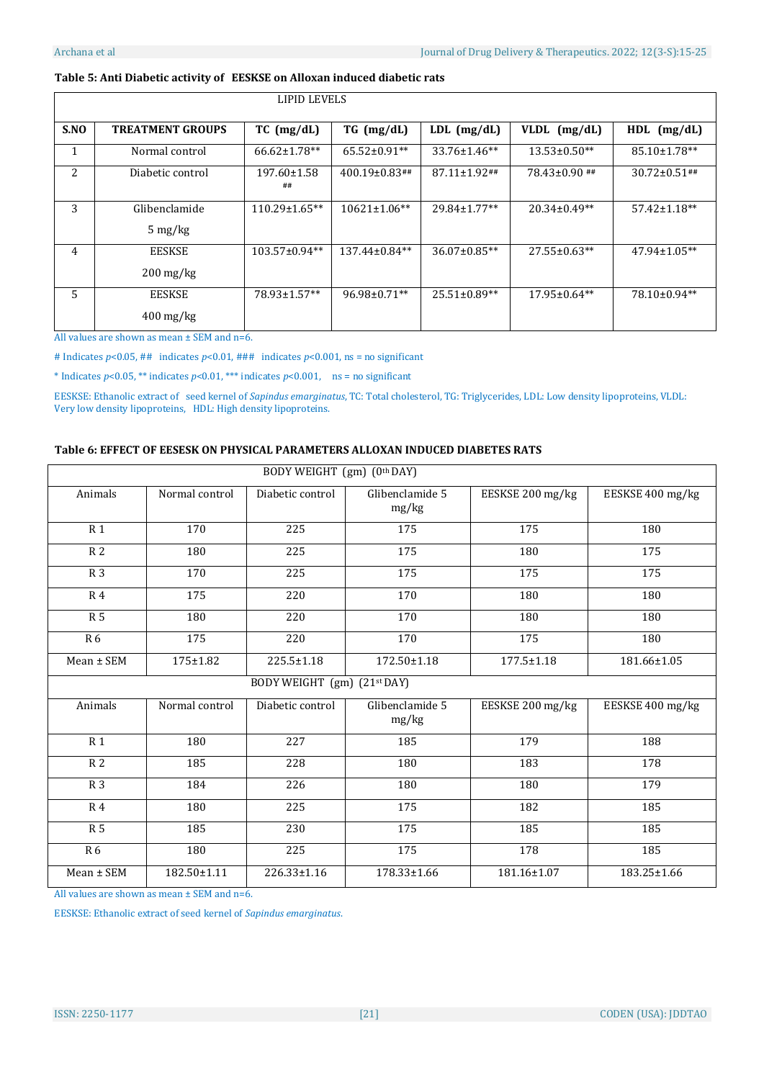# **Table 5: Anti Diabetic activity of EESKSE on Alloxan induced diabetic rats**

|      | LIPID LEVELS                                     |                     |                     |                     |                    |                     |  |
|------|--------------------------------------------------|---------------------|---------------------|---------------------|--------------------|---------------------|--|
| S.NO | <b>TREATMENT GROUPS</b>                          | $TC$ (mg/dL)        | $TG \ (mg/dL)$      | $LDL$ (mg/dL)       | VLDL<br>(mg/dL)    | $HDL$ (mg/dL)       |  |
| 1    | Normal control                                   | $66.62 \pm 1.78**$  | $65.52 \pm 0.91**$  | $33.76 \pm 1.46**$  | $13.53 \pm 0.50**$ | 85.10±1.78**        |  |
| 2    | Diabetic control                                 | 197.60±1.58<br>##   | $400.19\pm0.83$ ##  | $87.11 \pm 1.92$ ## | 78.43±0.90 ##      | $30.72 \pm 0.51$ ## |  |
| 3    | Glibenclamide<br>$5 \frac{\text{mg}}{\text{kg}}$ | $110.29 \pm 1.65**$ | $10621 \pm 1.06$ ** | $29.84 \pm 1.77$ ** | $20.34\pm0.49**$   | $57.42 \pm 1.18**$  |  |
| 4    | <b>EESKSE</b><br>$200 \,\mathrm{mg/kg}$          | $103.57 \pm 0.94**$ | $137.44 \pm 0.84**$ | $36.07 \pm 0.85**$  | $27.55 \pm 0.63**$ | $47.94 \pm 1.05**$  |  |
| 5    | <b>EESKSE</b><br>$400 \,\mathrm{mg/kg}$          | 78.93±1.57**        | $96.98 \pm 0.71**$  | $25.51 \pm 0.89**$  | $17.95 \pm 0.64**$ | 78.10±0.94**        |  |

All values are shown as mean ± SEM and n=6.

# Indicates *p*<0.05, ## indicates *p*<0.01, ### indicates *p*<0.001, ns = no significant

\* Indicates  $p < 0.05$ , \*\* indicates  $p < 0.01$ , \*\*\* indicates  $p < 0.001$ , ns = no significant

EESKSE: Ethanolic extract of seed kernel of *Sapindus emarginatus*, TC: Total cholesterol, TG: Triglycerides, LDL: Low density lipoproteins, VLDL: Very low density lipoproteins, HDL: High density lipoproteins.

# **Table 6: EFFECT OF EESESK ON PHYSICAL PARAMETERS ALLOXAN INDUCED DIABETES RATS**

| BODY WEIGHT (gm) (0th DAY) |                |                             |                          |                  |                  |  |
|----------------------------|----------------|-----------------------------|--------------------------|------------------|------------------|--|
| Animals                    | Normal control | Diabetic control            | Glibenclamide 5<br>mg/kg | EESKSE 200 mg/kg | EESKSE 400 mg/kg |  |
| <b>R1</b>                  | 170            | 225                         | 175                      | 175              | 180              |  |
| R <sub>2</sub>             | 180            | 225                         | 175                      | 180              | 175              |  |
| R <sub>3</sub>             | 170            | 225                         | 175                      | 175              | 175              |  |
| R <sub>4</sub>             | 175            | 220                         | 170                      | 180              | 180              |  |
| R <sub>5</sub>             | 180            | 220                         | 170                      | 180              | 180              |  |
| <b>R6</b>                  | 175            | 220                         | 170                      | 175              | 180              |  |
| Mean ± SEM                 | 175±1.82       | 225.5±1.18                  | 172.50±1.18              | $177.5 \pm 1.18$ | 181.66±1.05      |  |
|                            |                | BODY WEIGHT (gm) (21st DAY) |                          |                  |                  |  |
| Animals                    | Normal control | Diabetic control            | Glibenclamide 5<br>mg/kg | EESKSE 200 mg/kg | EESKSE 400 mg/kg |  |
| R <sub>1</sub>             | 180            | 227                         | 185                      | 179              | 188              |  |
| R <sub>2</sub>             | 185            | 228                         | 180                      | 183              | 178              |  |
| R <sub>3</sub>             | 184            | 226                         | 180                      | 180              | 179              |  |
| <b>R4</b>                  | 180            | 225                         | 175                      | 182              | 185              |  |
| <b>R5</b>                  | 185            | 230                         | 175                      | 185              | 185              |  |
| <b>R6</b>                  | 180            | 225                         | 175                      | 178              | 185              |  |
| Mean ± SEM                 | 182.50±1.11    | 226.33±1.16                 | 178.33±1.66              | 181.16±1.07      | 183.25±1.66      |  |

All values are shown as mean ± SEM and n=6.

EESKSE: Ethanolic extract of seed kernel of *Sapindus emarginatus*.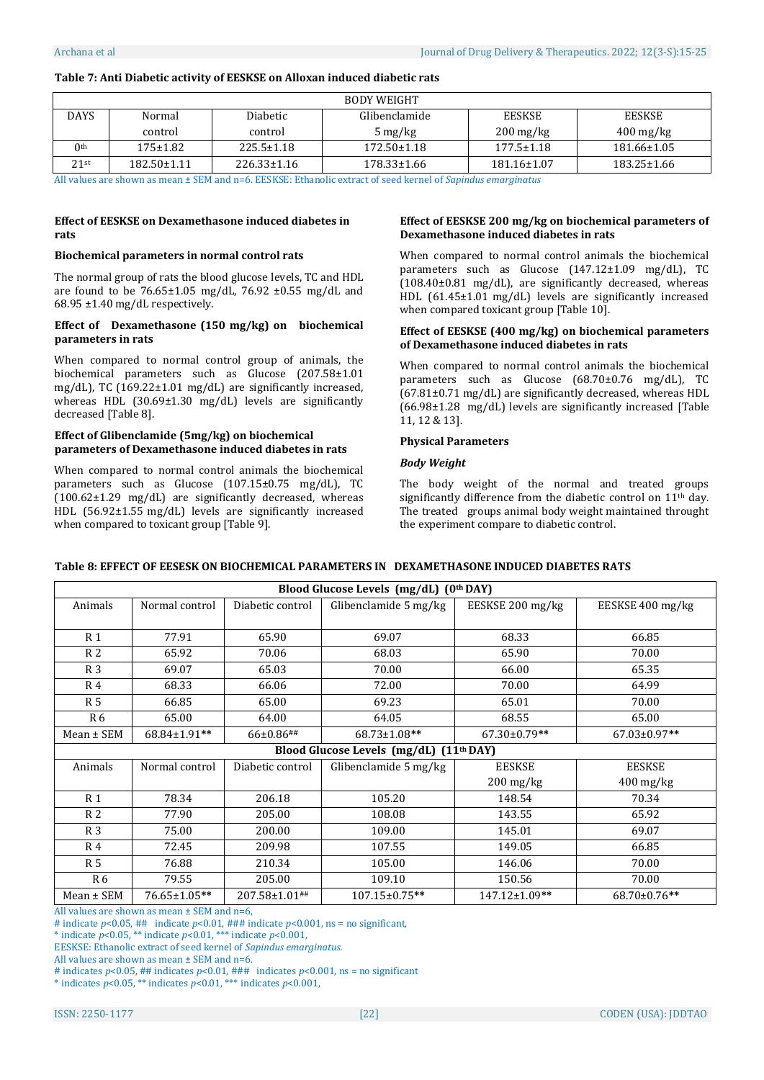# **Table 7: Anti Diabetic activity of EESKSE on Alloxan induced diabetic rats**

| <b>BODY WEIGHT</b> |                   |                   |                        |                        |  |  |  |
|--------------------|-------------------|-------------------|------------------------|------------------------|--|--|--|
| Normal             | Diabetic          | Glibenclamide     | <b>EESKSE</b>          | <b>EESKSE</b>          |  |  |  |
| control            | control           | $5 \text{ mg/kg}$ | $200 \,\mathrm{mg/kg}$ | $400 \,\mathrm{mg/kg}$ |  |  |  |
| $175 \pm 1.82$     | 225.5±1.18        | $172.50 \pm 1.18$ | $177.5 \pm 1.18$       | $181.66 \pm 1.05$      |  |  |  |
| $182.50 \pm 1.11$  | $226.33 \pm 1.16$ | 178.33±1.66       | 181.16±1.07            | 183.25±1.66            |  |  |  |
|                    |                   |                   |                        |                        |  |  |  |

All values are shown as mean ± SEM and n=6. EESKSE: Ethanolic extract of seed kernel of *Sapindus emarginatus*

# **Effect of EESKSE on Dexamethasone induced diabetes in rats**

## **Biochemical parameters in normal control rats**

The normal group of rats the blood glucose levels, TC and HDL are found to be  $76.65 \pm 1.05$  mg/dL,  $76.92 \pm 0.55$  mg/dL and  $68.95 \pm 1.40$  mg/dL respectively.

#### **Effect of Dexamethasone (150 mg/kg) on biochemical parameters in rats**

When compared to normal control group of animals, the biochemical parameters such as Glucose (207.58±1.01 mg/dL), TC (169.22±1.01 mg/dL) are significantly increased, whereas HDL (30.69±1.30 mg/dL) levels are significantly decreased [Table 8].

# **Effect of Glibenclamide (5mg/kg) on biochemical parameters of Dexamethasone induced diabetes in rats**

When compared to normal control animals the biochemical parameters such as Glucose (107.15±0.75 mg/dL), TC (100.62±1.29 mg/dL) are significantly decreased, whereas HDL (56.92±1.55 mg/dL) levels are significantly increased when compared to toxicant group [Table 9].

# **Effect of EESKSE 200 mg/kg on biochemical parameters of Dexamethasone induced diabetes in rats**

When compared to normal control animals the biochemical parameters such as Glucose (147.12±1.09 mg/dL), TC (108.40±0.81 mg/dL), are significantly decreased, whereas HDL (61.45±1.01 mg/dL) levels are significantly increased when compared toxicant group [Table 10].

# **Effect of EESKSE (400 mg/kg) on biochemical parameters of Dexamethasone induced diabetes in rats**

When compared to normal control animals the biochemical parameters such as Glucose (68.70±0.76 mg/dL), TC (67.81±0.71 mg/dL) are significantly decreased, whereas HDL (66.98±1.28 mg/dL) levels are significantly increased [Table 11, 12 & 13].

# **Physical Parameters**

# *Body Weight*

The body weight of the normal and treated groups significantly difference from the diabetic control on 11<sup>th</sup> day. The treated groups animal body weight maintained throught the experiment compare to diabetic control.

# **Table 8: EFFECT OF EESESK ON BIOCHEMICAL PARAMETERS IN DEXAMETHASONE INDUCED DIABETES RATS**

| Blood Glucose Levels (mg/dL) (0th DAY) |                |                  |                                                     |                        |                  |  |
|----------------------------------------|----------------|------------------|-----------------------------------------------------|------------------------|------------------|--|
| Animals                                | Normal control | Diabetic control | Glibenclamide 5 mg/kg                               | EESKSE 200 mg/kg       | EESKSE 400 mg/kg |  |
|                                        |                |                  |                                                     |                        |                  |  |
| R <sub>1</sub>                         | 77.91          | 65.90            | 69.07                                               | 68.33                  | 66.85            |  |
| R <sub>2</sub>                         | 65.92          | 70.06            | 68.03                                               | 65.90                  | 70.00            |  |
| R <sub>3</sub>                         | 69.07          | 65.03            | 70.00                                               | 66.00                  | 65.35            |  |
| R <sub>4</sub>                         | 68.33          | 66.06            | 72.00                                               | 70.00                  | 64.99            |  |
| R 5                                    | 66.85          | 65.00            | 69.23                                               | 65.01                  | 70.00            |  |
| R <sub>6</sub>                         | 65.00          | 64.00            | 64.05                                               | 68.55                  | 65.00            |  |
| Mean ± SEM                             | 68.84±1.91**   | $66\pm0.86$ ##   | 68.73±1.08**                                        | $67.30 \pm 0.79**$     | 67.03±0.97**     |  |
|                                        |                |                  | Blood Glucose Levels (mg/dL) (11 <sup>th</sup> DAY) |                        |                  |  |
| Animals                                | Normal control | Diabetic control | Glibenclamide 5 mg/kg                               | <b>EESKSE</b>          | <b>EESKSE</b>    |  |
|                                        |                |                  |                                                     | $200 \,\mathrm{mg/kg}$ | $400$ mg/kg      |  |
| R <sub>1</sub>                         | 78.34          | 206.18           | 105.20                                              | 148.54                 | 70.34            |  |
| R <sub>2</sub>                         | 77.90          | 205.00           | 108.08                                              | 143.55                 | 65.92            |  |
| R <sub>3</sub>                         | 75.00          | 200.00           | 109.00                                              | 145.01                 | 69.07            |  |
| R <sub>4</sub>                         | 72.45          | 209.98           | 107.55                                              | 149.05                 | 66.85            |  |
| R <sub>5</sub>                         | 76.88          | 210.34           | 105.00                                              | 146.06                 | 70.00            |  |
| R6                                     | 79.55          | 205.00           | 109.10                                              | 150.56                 | 70.00            |  |
| Mean ± SEM                             | 76.65±1.05**   | 207.58±1.01##    | 107.15±0.75**                                       | 147.12±1.09**          | 68.70±0.76**     |  |

All values are shown as mean  $\pm$  SEM and n=6.

# indicate  $p$ <0.05, ## indicate  $p$ <0.01, ### indicate  $p$ <0.001, ns = no significant,

\* indicate *p*<0.05, \*\* indicate *p*<0.01, \*\*\* indicate *p*<0.001,

EESKSE: Ethanolic extract of seed kernel of *Sapindus emarginatus.*

All values are shown as mean ± SEM and n=6.

# indicates  $p < 0.05$ , ## indicates  $p < 0.01$ , ### indicates  $p < 0.001$ , ns = no significant

\* indicates *p*<0.05, \*\* indicates *p*<0.01, \*\*\* indicates *p*<0.001,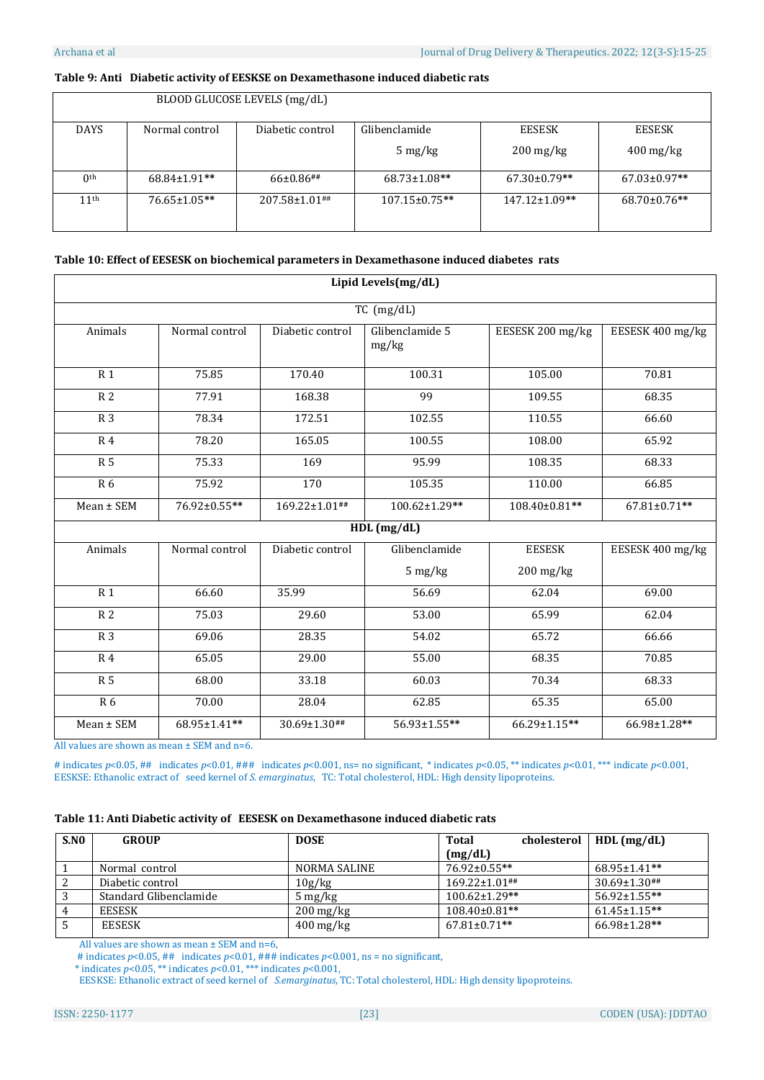$\mathsf{r}$ 

# **Table 9: Anti Diabetic activity of EESKSE on Dexamethasone induced diabetic rats**

 $BLOOP$  GLUCOSE LEVELS (mg/dl)

|                  |                     | BLUUD GLUCUSE LEVELS (IIIg/UL) |                                 |                                   |                                   |
|------------------|---------------------|--------------------------------|---------------------------------|-----------------------------------|-----------------------------------|
| <b>DAYS</b>      | Normal control      | Diabetic control               | Glibenclamide                   | EESESK                            | EESESK                            |
|                  |                     |                                | $5 \frac{\text{mg}}{\text{kg}}$ | $200 \frac{\text{mg}}{\text{kg}}$ | $400 \frac{\text{mg}}{\text{kg}}$ |
| 0 <sup>th</sup>  | $68.84 \pm 1.91$ ** | $66\pm0.86$ ##                 | 68.73±1.08**                    | $67.30 \pm 0.79$ **               | $67.03 \pm 0.97**$                |
| 11 <sup>th</sup> | $76.65 \pm 1.05$ ** | $207.58 \pm 1.01$ ##           | $107.15 \pm 0.75$ **            | $147.12 \pm 1.09$ **              | $68.70 \pm 0.76$ **               |

# **Table 10: Effect of EESESK on biochemical parameters in Dexamethasone induced diabetes rats**

|                | Lipid Levels(mg/dL) |                  |                            |                  |                  |  |  |
|----------------|---------------------|------------------|----------------------------|------------------|------------------|--|--|
|                |                     |                  | TC (mg/dL)                 |                  |                  |  |  |
| Animals        | Normal control      | Diabetic control | Glibenclamide 5<br>mg/kg   | EESESK 200 mg/kg | EESESK 400 mg/kg |  |  |
| R <sub>1</sub> | 75.85               | 170.40           | 100.31                     | 105.00           | 70.81            |  |  |
| R <sub>2</sub> | 77.91               | 168.38           | 99                         | 109.55           | 68.35            |  |  |
| R <sub>3</sub> | 78.34               | 172.51           | 102.55                     | 110.55           | 66.60            |  |  |
| R <sub>4</sub> | 78.20               | 165.05           | 100.55                     | 108.00           | 65.92            |  |  |
| R <sub>5</sub> | 75.33               | 169              | 95.99                      | 108.35           | 68.33            |  |  |
| R 6            | 75.92               | 170              | 105.35                     | 110.00           | 66.85            |  |  |
| Mean ± SEM     | 76.92±0.55**        | 169.22±1.01##    | 100.62±1.29**              | 108.40±0.81**    | 67.81±0.71**     |  |  |
|                |                     |                  | $HDL$ (mg/dL)              |                  |                  |  |  |
| Animals        | Normal control      | Diabetic control | Glibenclamide              | <b>EESESK</b>    | EESESK 400 mg/kg |  |  |
|                |                     |                  | 5 mg/kg                    | $200$ mg/kg      |                  |  |  |
| R <sub>1</sub> | 66.60               | 35.99            | 56.69                      | 62.04            | 69.00            |  |  |
| R <sub>2</sub> | 75.03               | 29.60            | 53.00                      | 65.99            | 62.04            |  |  |
| R <sub>3</sub> | 69.06               | 28.35            | 54.02                      | 65.72            | 66.66            |  |  |
| R <sub>4</sub> | 65.05               | 29.00            | 55.00                      | 68.35            | 70.85            |  |  |
| <b>R5</b>      | 68.00               | 33.18            | 60.03                      | 70.34            | 68.33            |  |  |
| <b>R6</b>      | 70.00               | 28.04            | 62.85                      | 65.35            | 65.00            |  |  |
| Mean ± SEM     | 68.95±1.41**        | 30.69±1.30##     | $\overline{56.93}$ ±1.55** | 66.29±1.15**     | 66.98±1.28**     |  |  |

All values are shown as mean ± SEM and n=6.

# indicates *p*<0.05, ## indicates *p*<0.01, ### indicates *p*<0.001, ns= no significant, \* indicates *p*<0.05, \*\* indicates *p*<0.01, \*\*\* indicate *p*<0.001, EESKSE: Ethanolic extract of seed kernel of *S. emarginatus*, TC: Total cholesterol, HDL: High density lipoproteins.

# **Table 11: Anti Diabetic activity of EESESK on Dexamethasone induced diabetic rats**

| S.NO | <b>GROUP</b>           | <b>DOSE</b>                       | <b>Total</b><br>cholesterol | $HDL$ (mg/dL)       |
|------|------------------------|-----------------------------------|-----------------------------|---------------------|
|      |                        |                                   | (mg/dL)                     |                     |
|      | Normal control         | NORMA SALINE                      | $76.92 \pm 0.55$ **         | $68.95 \pm 1.41$ ** |
|      | Diabetic control       | 10g/kg                            | $169.22 \pm 1.01$ ##        | 30.69±1.30##        |
|      | Standard Glibenclamide | $5 \,\mathrm{mg/kg}$              | $100.62 \pm 1.29$ **        | 56.92±1.55**        |
|      | <b>EESESK</b>          | $200 \,\mathrm{mg/kg}$            | $108.40\pm0.81**$           | $61.45 \pm 1.15$ ** |
|      | <b>EESESK</b>          | $400 \frac{\text{mg}}{\text{kg}}$ | $67.81 \pm 0.71$ **         | $66.98 \pm 1.28$ ** |

All values are shown as mean ± SEM and n=6,

# indicates *p*<0.05, ## indicates *p*<0.01, ### indicates *p*<0.001, ns = no significant,

\* indicates  $p < 0.05$ , \*\* indicates  $p < 0.01$ , \*\*\* indicates  $p < 0.001$ ,

EESKSE: Ethanolic extract of seed kernel of *S.emarginatus*, TC: Total cholesterol, HDL: High density lipoproteins.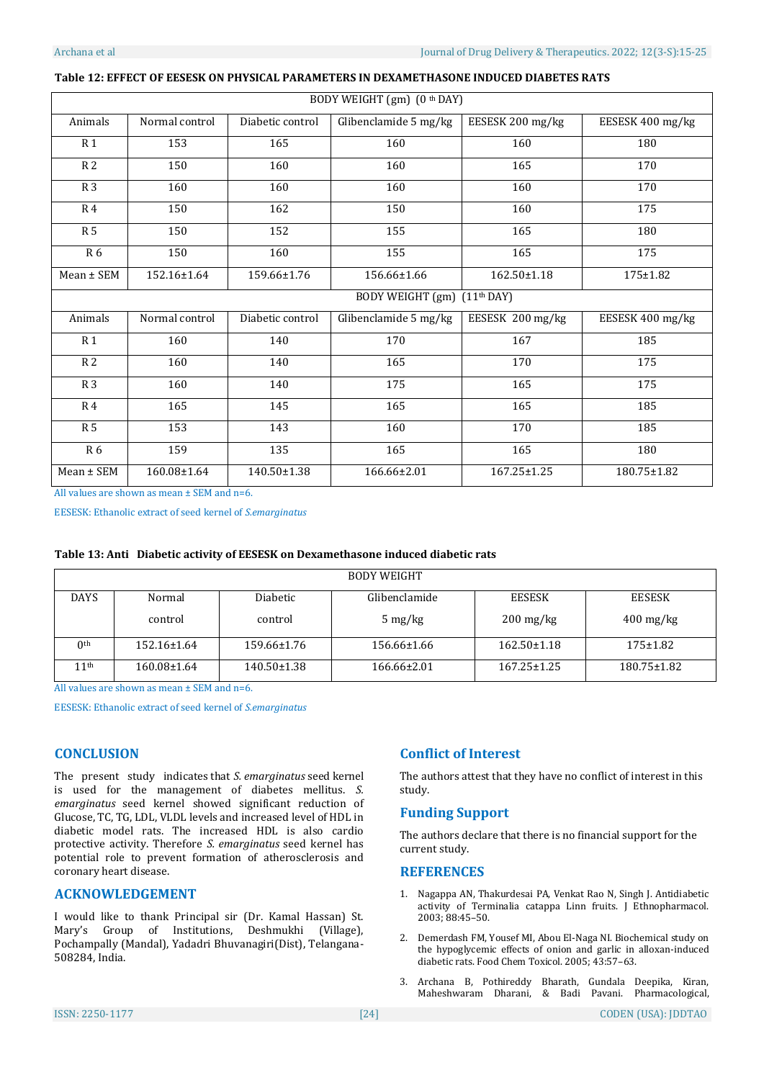| BODY WEIGHT (gm) (0 <sup>th</sup> DAY)     |                |                  |                       |                  |                  |  |
|--------------------------------------------|----------------|------------------|-----------------------|------------------|------------------|--|
| Animals                                    | Normal control | Diabetic control | Glibenclamide 5 mg/kg | EESESK 200 mg/kg | EESESK 400 mg/kg |  |
| R <sub>1</sub>                             | 153            | 165              | 160                   | 160              | 180              |  |
| R <sub>2</sub>                             | 150            | 160              | 160                   | 165              | 170              |  |
| R <sub>3</sub>                             | 160            | 160              | 160                   | 160              | 170              |  |
| R <sub>4</sub>                             | 150            | 162              | 150                   | 160              | 175              |  |
| R <sub>5</sub>                             | 150            | 152              | 155                   | 165              | 180              |  |
| R 6                                        | 150            | 160              | 155                   | 165              | 175              |  |
| $Mean \pm SEM$                             | 152.16±1.64    | 159.66±1.76      | 156.66±1.66           | 162.50±1.18      | 175±1.82         |  |
| BODY WEIGHT (gm)<br>(11 <sup>th</sup> DAY) |                |                  |                       |                  |                  |  |
| Animals                                    | Normal control | Diabetic control | Glibenclamide 5 mg/kg | EESESK 200 mg/kg | EESESK 400 mg/kg |  |
| R <sub>1</sub>                             | 160            | 140              | 170                   | 167              | 185              |  |
| R <sub>2</sub>                             | 160            | 140              | 165                   | 170              | 175              |  |
| R <sub>3</sub>                             | 160            | 140              | 175                   | 165              | 175              |  |
| R <sub>4</sub>                             | 165            | 145              | 165                   | 165              | 185              |  |
| R <sub>5</sub>                             | 153            | 143              | 160                   | 170              | 185              |  |
| R 6                                        | 159            | 135              | 165                   | 165              | 180              |  |
| $Mean \pm SEM$                             | 160.08±1.64    | 140.50±1.38      | 166.66±2.01           | 167.25±1.25      | 180.75±1.82      |  |

#### **Table 12: EFFECT OF EESESK ON PHYSICAL PARAMETERS IN DEXAMETHASONE INDUCED DIABETES RATS**

All values are shown as mean ± SEM and n=6.

EESESK: Ethanolic extract of seed kernel of *S.emarginatus*

|  |  | Table 13: Anti Diabetic activity of EESESK on Dexamethasone induced diabetic rats |
|--|--|-----------------------------------------------------------------------------------|
|  |  |                                                                                   |

| <b>BODY WEIGHT</b> |             |             |                                 |                                   |                |  |
|--------------------|-------------|-------------|---------------------------------|-----------------------------------|----------------|--|
| <b>DAYS</b>        | Normal      | Diabetic    | Glibenclamide                   | <b>EESESK</b>                     | <b>EESESK</b>  |  |
|                    | control     | control     | $5 \frac{\text{mg}}{\text{kg}}$ | $200 \frac{\text{mg}}{\text{kg}}$ | $400$ mg/kg    |  |
| 0 <sup>th</sup>    | 152.16±1.64 | 159.66±1.76 | 156.66±1.66                     | $162.50 \pm 1.18$                 | $175 \pm 1.82$ |  |
| 11 <sup>th</sup>   | 160.08±1.64 | 140.50±1.38 | $166.66 \pm 2.01$               | $167.25 \pm 1.25$                 | 180.75±1.82    |  |

All values are shown as mean ± SEM and n=6.

EESESK: Ethanolic extract of seed kernel of *S.emarginatus* 

# **CONCLUSION**

The present study indicates that *S. emarginatus* seed kernel is used for the management of diabetes mellitus. *S. emarginatus* seed kernel showed significant reduction of Glucose, TC, TG, LDL, VLDL levels and increased level of HDL in diabetic model rats. The increased HDL is also cardio protective activity. Therefore *S. emarginatus* seed kernel has potential role to prevent formation of atherosclerosis and coronary heart disease.

# **ACKNOWLEDGEMENT**

I would like to thank Principal sir (Dr. Kamal Hassan) St. Mary's Group of Institutions, Deshmukhi (Village), Pochampally (Mandal), Yadadri Bhuvanagiri(Dist), Telangana-508284, India.

# **Conflict of Interest**

The authors attest that they have no conflict of interest in this study.

# **Funding Support**

The authors declare that there is no financial support for the current study.

# **REFERENCES**

- 1. Nagappa AN, Thakurdesai PA, Venkat Rao N, Singh J. Antidiabetic activity of Terminalia catappa Linn fruits. J Ethnopharmacol. 2003; 88:45–50.
- 2. Demerdash FM, Yousef MI, Abou El-Naga NI. Biochemical study on the hypoglycemic effects of onion and garlic in alloxan-induced diabetic rats. Food Chem Toxicol. 2005; 43:57–63.
- 3. Archana B, Pothireddy Bharath, Gundala Deepika, Kiran, Maheshwaram Dharani, & Badi Pavani. Pharmacological,